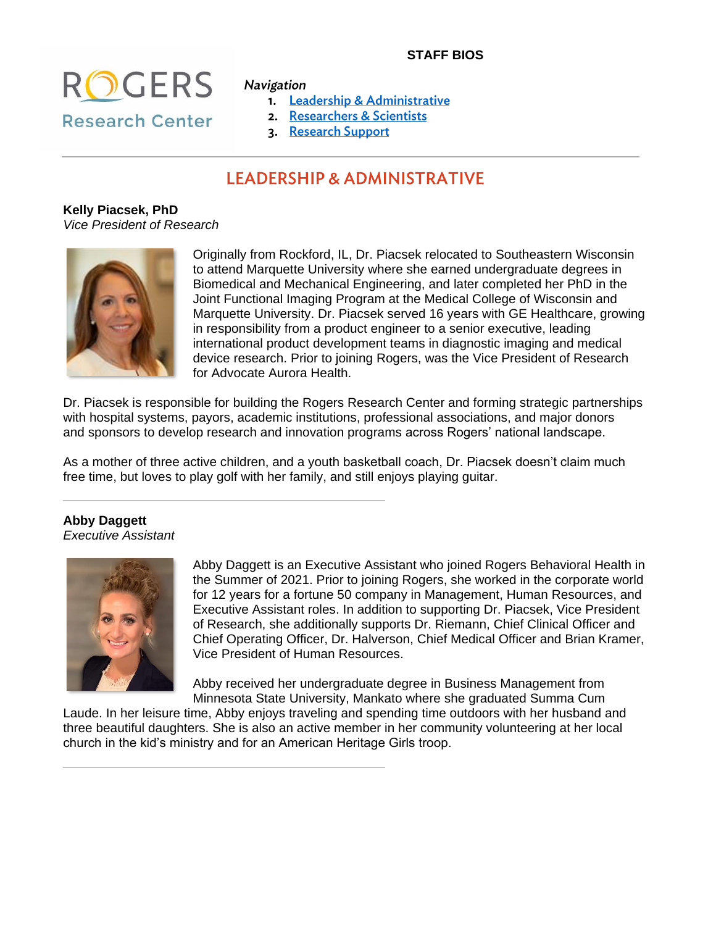## **STAFF BIOS**



- 1. Leadership & Administrative
- 2. Researchers & Scientists
- 3. Research Support

# **LEADERSHIP & ADMINISTRATIVE**

**Kelly Piacsek, PhD** *Vice President of Research*



I

Originally from Rockford, IL, Dr. Piacsek relocated to Southeastern Wisconsin to attend Marquette University where she earned undergraduate degrees in Biomedical and Mechanical Engineering, and later completed her PhD in the Joint Functional Imaging Program at the Medical College of Wisconsin and Marquette University. Dr. Piacsek served 16 years with GE Healthcare, growing in responsibility from a product engineer to a senior executive, leading international product development teams in diagnostic imaging and medical device research. Prior to joining Rogers, was the Vice President of Research for Advocate Aurora Health.

Dr. Piacsek is responsible for building the Rogers Research Center and forming strategic partnerships with hospital systems, payors, academic institutions, professional associations, and major donors and sponsors to develop research and innovation programs across Rogers' national landscape.

As a mother of three active children, and a youth basketball coach, Dr. Piacsek doesn't claim much free time, but loves to play golf with her family, and still enjoys playing guitar.

## **Abby Daggett**

*Executive Assistant*



Abby Daggett is an Executive Assistant who joined Rogers Behavioral Health in the Summer of 2021. Prior to joining Rogers, she worked in the corporate world for 12 years for a fortune 50 company in Management, Human Resources, and Executive Assistant roles. In addition to supporting Dr. Piacsek, Vice President of Research, she additionally supports Dr. Riemann, Chief Clinical Officer and Chief Operating Officer, Dr. Halverson, Chief Medical Officer and Brian Kramer, Vice President of Human Resources.

Abby received her undergraduate degree in Business Management from Minnesota State University, Mankato where she graduated Summa Cum

Laude. In her leisure time, Abby enjoys traveling and spending time outdoors with her husband and three beautiful daughters. She is also an active member in her community volunteering at her local church in the kid's ministry and for an American Heritage Girls troop.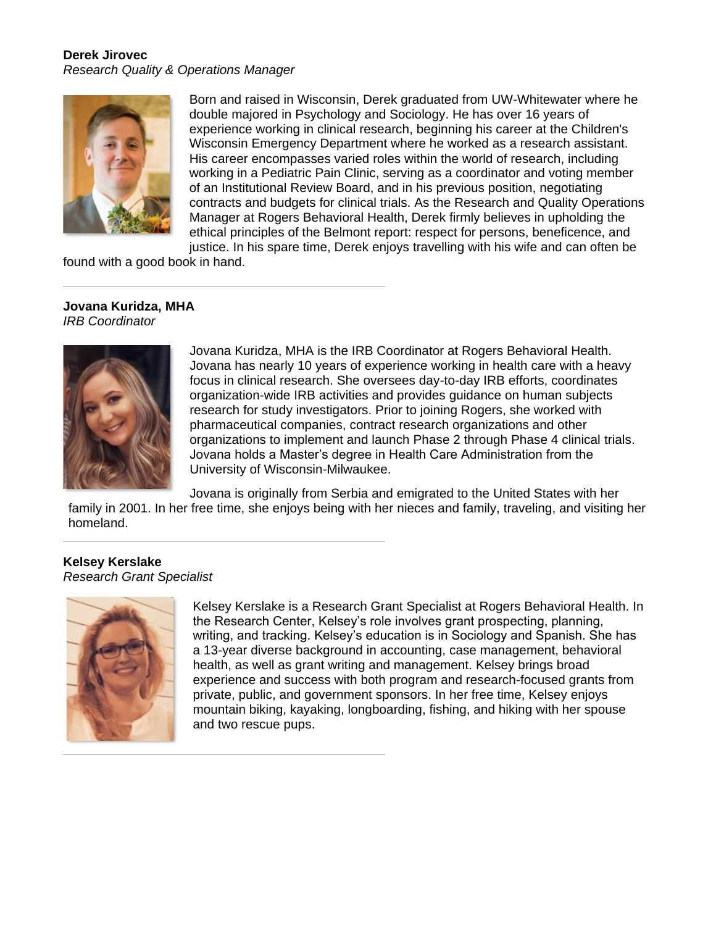## **Derek Jirovec**

*Research Quality & Operations Manager*



Born and raised in Wisconsin, Derek graduated from UW-Whitewater where he double majored in Psychology and Sociology. He has over 16 years of experience working in clinical research, beginning his career at the Children's Wisconsin Emergency Department where he worked as a research assistant. His career encompasses varied roles within the world of research, including working in a Pediatric Pain Clinic, serving as a coordinator and voting member of an Institutional Review Board, and in his previous position, negotiating contracts and budgets for clinical trials. As the Research and Quality Operations Manager at Rogers Behavioral Health, Derek firmly believes in upholding the ethical principles of the Belmont report: respect for persons, beneficence, and justice. In his spare time, Derek enjoys travelling with his wife and can often be

found with a good book in hand.

#### **Jovana Kuridza, MHA** *IRB Coordinator*



Jovana Kuridza, MHA is the IRB Coordinator at Rogers Behavioral Health. Jovana has nearly 10 years of experience working in health care with a heavy focus in clinical research. She oversees day-to-day IRB efforts, coordinates organization-wide IRB activities and provides guidance on human subjects research for study investigators. Prior to joining Rogers, she worked with pharmaceutical companies, contract research organizations and other organizations to implement and launch Phase 2 through Phase 4 clinical trials. Jovana holds a Master's degree in Health Care Administration from the University of Wisconsin-Milwaukee.

Jovana is originally from Serbia and emigrated to the United States with her family in 2001. In her free time, she enjoys being with her nieces and family, traveling, and visiting her homeland.

## **Kelsey Kerslake** *Research Grant Specialist*



Kelsey Kerslake is a Research Grant Specialist at Rogers Behavioral Health. In the Research Center, Kelsey's role involves grant prospecting, planning, writing, and tracking. Kelsey's education is in Sociology and Spanish. She has a 13-year diverse background in accounting, case management, behavioral health, as well as grant writing and management. Kelsey brings broad experience and success with both program and research-focused grants from private, public, and government sponsors. In her free time, Kelsey enjoys mountain biking, kayaking, longboarding, fishing, and hiking with her spouse and two rescue pups.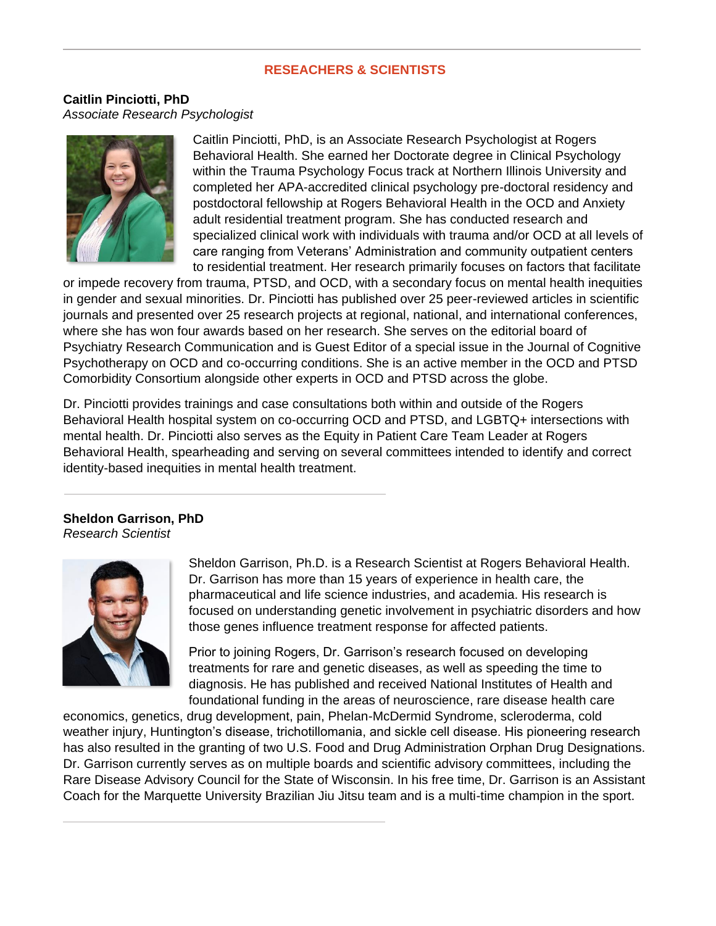### **RESEACHERS & SCIENTISTS**

**Caitlin Pinciotti, PhD** *Associate Research Psychologist*



Caitlin Pinciotti, PhD, is an Associate Research Psychologist at Rogers Behavioral Health. She earned her Doctorate degree in Clinical Psychology within the Trauma Psychology Focus track at Northern Illinois University and completed her APA-accredited clinical psychology pre-doctoral residency and postdoctoral fellowship at Rogers Behavioral Health in the OCD and Anxiety adult residential treatment program. She has conducted research and specialized clinical work with individuals with trauma and/or OCD at all levels of care ranging from Veterans' Administration and community outpatient centers to residential treatment. Her research primarily focuses on factors that facilitate

or impede recovery from trauma, PTSD, and OCD, with a secondary focus on mental health inequities in gender and sexual minorities. Dr. Pinciotti has published over 25 peer-reviewed articles in scientific journals and presented over 25 research projects at regional, national, and international conferences, where she has won four awards based on her research. She serves on the editorial board of Psychiatry Research Communication and is Guest Editor of a special issue in the Journal of Cognitive Psychotherapy on OCD and co-occurring conditions. She is an active member in the OCD and PTSD Comorbidity Consortium alongside other experts in OCD and PTSD across the globe.

Dr. Pinciotti provides trainings and case consultations both within and outside of the Rogers Behavioral Health hospital system on co-occurring OCD and PTSD, and LGBTQ+ intersections with mental health. Dr. Pinciotti also serves as the Equity in Patient Care Team Leader at Rogers Behavioral Health, spearheading and serving on several committees intended to identify and correct identity-based inequities in mental health treatment.

#### **Sheldon Garrison, PhD** *Research Scientist*



Sheldon Garrison, Ph.D. is a Research Scientist at Rogers Behavioral Health. Dr. Garrison has more than 15 years of experience in health care, the pharmaceutical and life science industries, and academia. His research is focused on understanding genetic involvement in psychiatric disorders and how those genes influence treatment response for affected patients.

Prior to joining Rogers, Dr. Garrison's research focused on developing treatments for rare and genetic diseases, as well as speeding the time to diagnosis. He has published and received National Institutes of Health and foundational funding in the areas of neuroscience, rare disease health care

economics, genetics, drug development, pain, Phelan-McDermid Syndrome, scleroderma, cold weather injury, Huntington's disease, trichotillomania, and sickle cell disease. His pioneering research has also resulted in the granting of two U.S. Food and Drug Administration Orphan Drug Designations. Dr. Garrison currently serves as on multiple boards and scientific advisory committees, including the Rare Disease Advisory Council for the State of Wisconsin. In his free time, Dr. Garrison is an Assistant Coach for the Marquette University Brazilian Jiu Jitsu team and is a multi-time champion in the sport.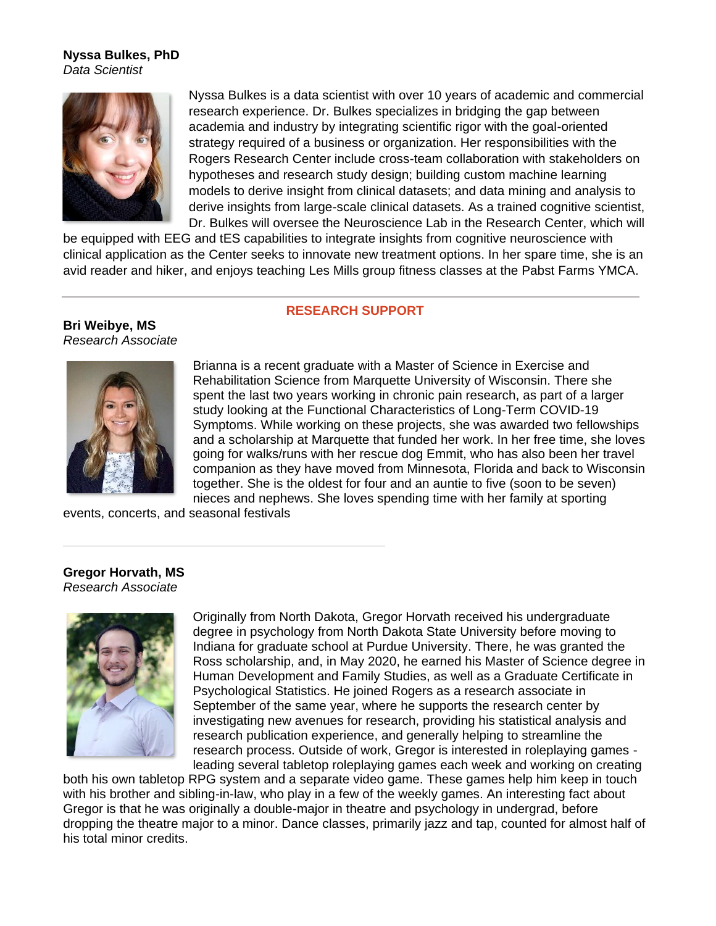#### **Nyssa Bulkes, PhD** *Data Scientist*



Nyssa Bulkes is a data scientist with over 10 years of academic and commercial research experience. Dr. Bulkes specializes in bridging the gap between academia and industry by integrating scientific rigor with the goal-oriented strategy required of a business or organization. Her responsibilities with the Rogers Research Center include cross-team collaboration with stakeholders on hypotheses and research study design; building custom machine learning models to derive insight from clinical datasets; and data mining and analysis to derive insights from large-scale clinical datasets. As a trained cognitive scientist, Dr. Bulkes will oversee the Neuroscience Lab in the Research Center, which will

be equipped with EEG and tES capabilities to integrate insights from cognitive neuroscience with clinical application as the Center seeks to innovate new treatment options. In her spare time, she is an avid reader and hiker, and enjoys teaching Les Mills group fitness classes at the Pabst Farms YMCA.

#### **RESEARCH SUPPORT**

**Bri Weibye, MS** *Research Associate*



Brianna is a recent graduate with a Master of Science in Exercise and Rehabilitation Science from Marquette University of Wisconsin. There she spent the last two years working in chronic pain research, as part of a larger study looking at the Functional Characteristics of Long-Term COVID-19 Symptoms. While working on these projects, she was awarded two fellowships and a scholarship at Marquette that funded her work. In her free time, she loves going for walks/runs with her rescue dog Emmit, who has also been her travel companion as they have moved from Minnesota, Florida and back to Wisconsin together. She is the oldest for four and an auntie to five (soon to be seven) nieces and nephews. She loves spending time with her family at sporting

events, concerts, and seasonal festivals

#### **Gregor Horvath, MS** *Research Associate*



Originally from North Dakota, Gregor Horvath received his undergraduate degree in psychology from North Dakota State University before moving to Indiana for graduate school at Purdue University. There, he was granted the Ross scholarship, and, in May 2020, he earned his Master of Science degree in Human Development and Family Studies, as well as a Graduate Certificate in Psychological Statistics. He joined Rogers as a research associate in September of the same year, where he supports the research center by investigating new avenues for research, providing his statistical analysis and research publication experience, and generally helping to streamline the research process. Outside of work, Gregor is interested in roleplaying games leading several tabletop roleplaying games each week and working on creating

both his own tabletop RPG system and a separate video game. These games help him keep in touch with his brother and sibling-in-law, who play in a few of the weekly games. An interesting fact about Gregor is that he was originally a double-major in theatre and psychology in undergrad, before dropping the theatre major to a minor. Dance classes, primarily jazz and tap, counted for almost half of his total minor credits.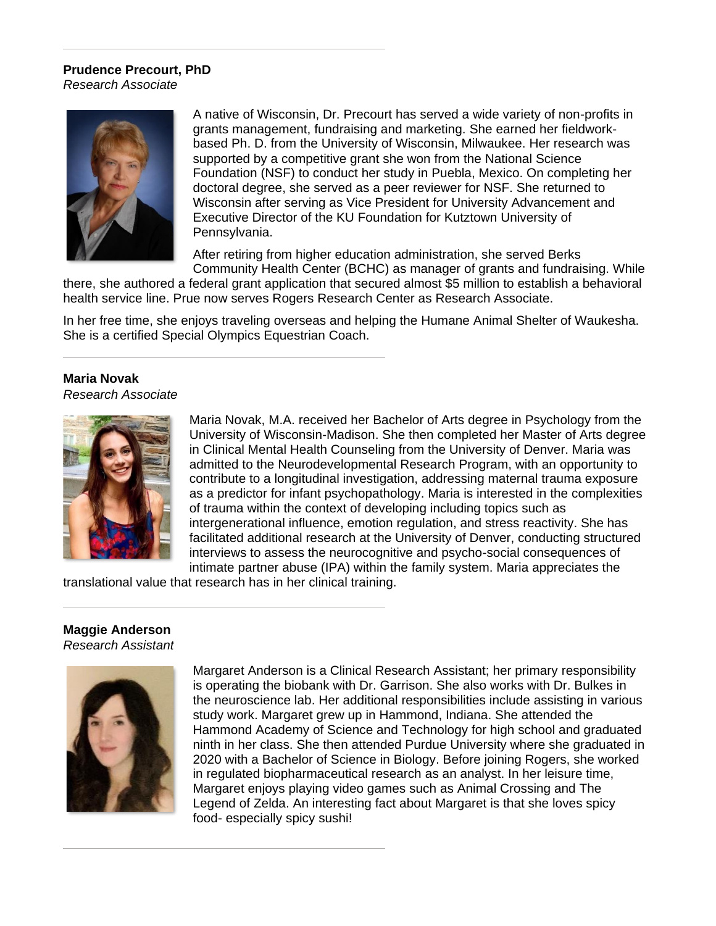# **Prudence Precourt, PhD**

*Research Associate*



A native of Wisconsin, Dr. Precourt has served a wide variety of non-profits in grants management, fundraising and marketing. She earned her fieldworkbased Ph. D. from the University of Wisconsin, Milwaukee. Her research was supported by a competitive grant she won from the National Science Foundation (NSF) to conduct her study in Puebla, Mexico. On completing her doctoral degree, she served as a peer reviewer for NSF. She returned to Wisconsin after serving as Vice President for University Advancement and Executive Director of the KU Foundation for Kutztown University of Pennsylvania.

After retiring from higher education administration, she served Berks Community Health Center (BCHC) as manager of grants and fundraising. While

there, she authored a federal grant application that secured almost \$5 million to establish a behavioral health service line. Prue now serves Rogers Research Center as Research Associate.

In her free time, she enjoys traveling overseas and helping the Humane Animal Shelter of Waukesha. She is a certified Special Olympics Equestrian Coach.

#### **Maria Novak**

*Research Associate*



Maria Novak, M.A. received her Bachelor of Arts degree in Psychology from the University of Wisconsin-Madison. She then completed her Master of Arts degree in Clinical Mental Health Counseling from the University of Denver. Maria was admitted to the Neurodevelopmental Research Program, with an opportunity to contribute to a longitudinal investigation, addressing maternal trauma exposure as a predictor for infant psychopathology. Maria is interested in the complexities of trauma within the context of developing including topics such as intergenerational influence, emotion regulation, and stress reactivity. She has facilitated additional research at the University of Denver, conducting structured interviews to assess the neurocognitive and psycho-social consequences of intimate partner abuse (IPA) within the family system. Maria appreciates the

translational value that research has in her clinical training.

# **Maggie Anderson**

*Research Assistant*



Margaret Anderson is a Clinical Research Assistant; her primary responsibility is operating the biobank with Dr. Garrison. She also works with Dr. Bulkes in the neuroscience lab. Her additional responsibilities include assisting in various study work. Margaret grew up in Hammond, Indiana. She attended the Hammond Academy of Science and Technology for high school and graduated ninth in her class. She then attended Purdue University where she graduated in 2020 with a Bachelor of Science in Biology. Before joining Rogers, she worked in regulated biopharmaceutical research as an analyst. In her leisure time, Margaret enjoys playing video games such as Animal Crossing and The Legend of Zelda. An interesting fact about Margaret is that she loves spicy food- especially spicy sushi!